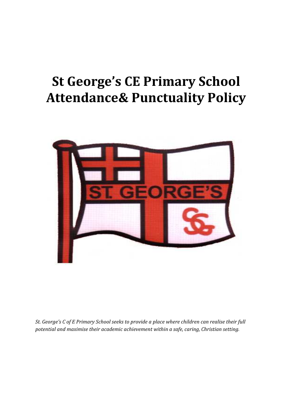# St George's CE Primary School Attendance& Punctuality Policy



St. George's C of E Primary School seeks to provide a place where children can realise their full potential and maximise their academic achievement within a safe, caring, Christian setting.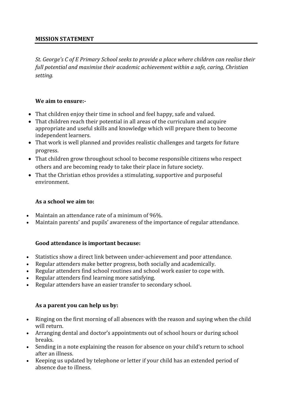## MISSION STATEMENT

St. George's C of E Primary School seeks to provide a place where children can realise their full potential and maximise their academic achievement within a safe, caring, Christian setting.

## We aim to ensure:-

- That children enjoy their time in school and feel happy, safe and valued.
- That children reach their potential in all areas of the curriculum and acquire appropriate and useful skills and knowledge which will prepare them to become independent learners.
- That work is well planned and provides realistic challenges and targets for future progress.
- That children grow throughout school to become responsible citizens who respect others and are becoming ready to take their place in future society.
- That the Christian ethos provides a stimulating, supportive and purposeful environment.

## As a school we aim to:

- Maintain an attendance rate of a minimum of 96%.
- Maintain parents' and pupils' awareness of the importance of regular attendance.

# Good attendance is important because:

- Statistics show a direct link between under-achievement and poor attendance.
- Regular attenders make better progress, both socially and academically.
- Regular attenders find school routines and school work easier to cope with.
- Regular attenders find learning more satisfying.
- Regular attenders have an easier transfer to secondary school.

## As a parent you can help us by:

- Ringing on the first morning of all absences with the reason and saying when the child will return.
- Arranging dental and doctor's appointments out of school hours or during school breaks.
- Sending in a note explaining the reason for absence on your child's return to school after an illness.
- Keeping us updated by telephone or letter if your child has an extended period of absence due to illness.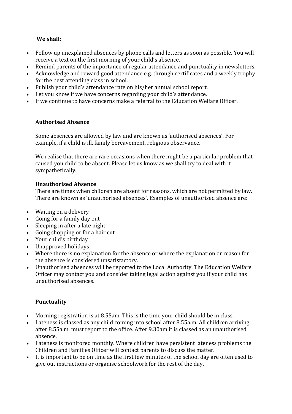# We shall:

- Follow up unexplained absences by phone calls and letters as soon as possible. You will receive a text on the first morning of your child's absence.
- Remind parents of the importance of regular attendance and punctuality in newsletters.
- Acknowledge and reward good attendance e.g. through certificates and a weekly trophy for the best attending class in school.
- Publish your child's attendance rate on his/her annual school report.
- Let you know if we have concerns regarding your child's attendance.
- If we continue to have concerns make a referral to the Education Welfare Officer.

# Authorised Absence

Some absences are allowed by law and are known as 'authorised absences'. For example, if a child is ill, family bereavement, religious observance.

We realise that there are rare occasions when there might be a particular problem that caused you child to be absent. Please let us know as we shall try to deal with it sympathetically.

# Unauthorised Absence

There are times when children are absent for reasons, which are not permitted by law. There are known as 'unauthorised absences'. Examples of unauthorised absence are:

- Waiting on a delivery
- Going for a family day out
- Sleeping in after a late night
- Going shopping or for a hair cut
- Your child's birthday
- Unapproved holidays
- Where there is no explanation for the absence or where the explanation or reason for the absence is considered unsatisfactory.
- Unauthorised absences will be reported to the Local Authority. The Education Welfare Officer may contact you and consider taking legal action against you if your child has unauthorised absences.

# Punctuality

- Morning registration is at 8.55am. This is the time your child should be in class.
- Lateness is classed as any child coming into school after 8.55a.m. All children arriving after 8.55a.m. must report to the office. After 9.30am it is classed as an unauthorised absence.
- Lateness is monitored monthly. Where children have persistent lateness problems the Children and Families Officer will contact parents to discuss the matter.
- It is important to be on time as the first few minutes of the school day are often used to give out instructions or organise schoolwork for the rest of the day.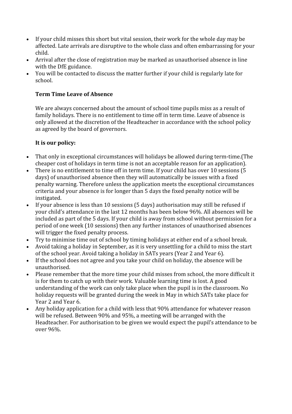- If your child misses this short but vital session, their work for the whole day may be affected. Late arrivals are disruptive to the whole class and often embarrassing for your child.
- Arrival after the close of registration may be marked as unauthorised absence in line with the DfE guidance.
- You will be contacted to discuss the matter further if your child is regularly late for school.

# Term Time Leave of Absence

We are always concerned about the amount of school time pupils miss as a result of family holidays. There is no entitlement to time off in term time. Leave of absence is only allowed at the discretion of the Headteacher in accordance with the school policy as agreed by the board of governors.

# It is our policy:

- That only in exceptional circumstances will holidays be allowed during term-time.(The cheaper cost of holidays in term time is not an acceptable reason for an application).
- There is no entitlement to time off in term time. If your child has over 10 sessions (5 days) of unauthorised absence then they will automatically be issues with a fixed penalty warning. Therefore unless the application meets the exceptional circumstances criteria and your absence is for longer than 5 days the fixed penalty notice will be instigated.
- If your absence is less than 10 sessions (5 days) authorisation may still be refused if your child's attendance in the last 12 months has been below 96%. All absences will be included as part of the 5 days. If your child is away from school without permission for a period of one week (10 sessions) then any further instances of unauthorised absences will trigger the fixed penalty process.
- Try to minimise time out of school by timing holidays at either end of a school break.
- Avoid taking a holiday in September, as it is very unsettling for a child to miss the start of the school year. Avoid taking a holiday in SATs years (Year 2 and Year 6).
- If the school does not agree and you take your child on holiday, the absence will be unauthorised.
- Please remember that the more time your child misses from school, the more difficult it is for them to catch up with their work. Valuable learning time is lost. A good understanding of the work can only take place when the pupil is in the classroom. No holiday requests will be granted during the week in May in which SATs take place for Year 2 and Year 6.
- Any holiday application for a child with less that 90% attendance for whatever reason will be refused. Between 90% and 95%, a meeting will be arranged with the Headteacher. For authorisation to be given we would expect the pupil's attendance to be over 96%.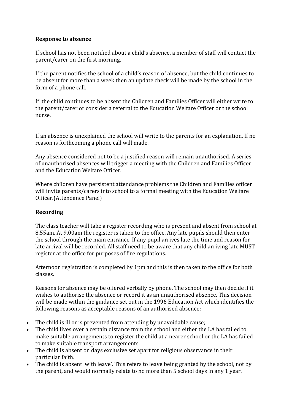## Response to absence

If school has not been notified about a child's absence, a member of staff will contact the parent/carer on the first morning.

If the parent notifies the school of a child's reason of absence, but the child continues to be absent for more than a week then an update check will be made by the school in the form of a phone call.

If the child continues to be absent the Children and Families Officer will either write to the parent/carer or consider a referral to the Education Welfare Officer or the school nurse.

If an absence is unexplained the school will write to the parents for an explanation. If no reason is forthcoming a phone call will made.

Any absence considered not to be a justified reason will remain unauthorised. A series of unauthorised absences will trigger a meeting with the Children and Families Officer and the Education Welfare Officer.

Where children have persistent attendance problems the Children and Families officer will invite parents/carers into school to a formal meeting with the Education Welfare Officer.(Attendance Panel)

# Recording

The class teacher will take a register recording who is present and absent from school at 8.55am. At 9.00am the register is taken to the office. Any late pupils should then enter the school through the main entrance. If any pupil arrives late the time and reason for late arrival will be recorded. All staff need to be aware that any child arriving late MUST register at the office for purposes of fire regulations.

Afternoon registration is completed by 1pm and this is then taken to the office for both classes.

Reasons for absence may be offered verbally by phone. The school may then decide if it wishes to authorise the absence or record it as an unauthorised absence. This decision will be made within the guidance set out in the 1996 Education Act which identifies the following reasons as acceptable reasons of an authorised absence:

- The child is ill or is prevented from attending by unavoidable cause;
- The child lives over a certain distance from the school and either the LA has failed to make suitable arrangements to register the child at a nearer school or the LA has failed to make suitable transport arrangements.
- The child is absent on days exclusive set apart for religious observance in their particular faith.
- The child is absent 'with leave'. This refers to leave being granted by the school, not by the parent, and would normally relate to no more than 5 school days in any 1 year.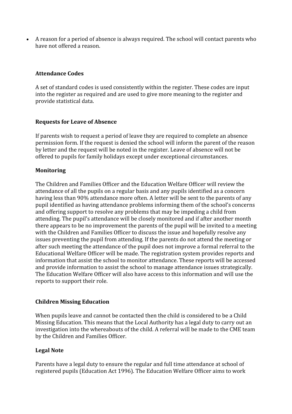• A reason for a period of absence is always required. The school will contact parents who have not offered a reason.

## Attendance Codes

A set of standard codes is used consistently within the register. These codes are input into the register as required and are used to give more meaning to the register and provide statistical data.

## Requests for Leave of Absence

If parents wish to request a period of leave they are required to complete an absence permission form. If the request is denied the school will inform the parent of the reason by letter and the request will be noted in the register. Leave of absence will not be offered to pupils for family holidays except under exceptional circumstances.

## Monitoring

The Children and Families Officer and the Education Welfare Officer will review the attendance of all the pupils on a regular basis and any pupils identified as a concern having less than 90% attendance more often. A letter will be sent to the parents of any pupil identified as having attendance problems informing them of the school's concerns and offering support to resolve any problems that may be impeding a child from attending. The pupil's attendance will be closely monitored and if after another month there appears to be no improvement the parents of the pupil will be invited to a meeting with the Children and Families Officer to discuss the issue and hopefully resolve any issues preventing the pupil from attending. If the parents do not attend the meeting or after such meeting the attendance of the pupil does not improve a formal referral to the Educational Welfare Officer will be made. The registration system provides reports and information that assist the school to monitor attendance. These reports will be accessed and provide information to assist the school to manage attendance issues strategically. The Education Welfare Officer will also have access to this information and will use the reports to support their role.

## Children Missing Education

When pupils leave and cannot be contacted then the child is considered to be a Child Missing Education. This means that the Local Authority has a legal duty to carry out an investigation into the whereabouts of the child. A referral will be made to the CME team by the Children and Families Officer.

# Legal Note

Parents have a legal duty to ensure the regular and full time attendance at school of registered pupils (Education Act 1996). The Education Welfare Officer aims to work